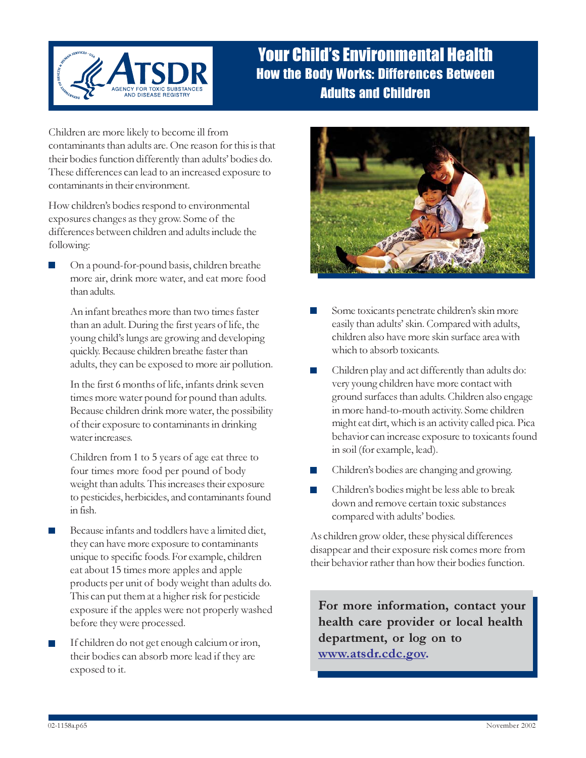

## Your Child's Environmental Health How the Body Works: Differences Between Adults and Children

Children are more likely to become ill from contaminants than adults are. One reason for this is that their bodies function differently than adults' bodies do. These differences can lead to an increased exposure to contaminants in their environment.

How children's bodies respond to environmental exposures changes as they grow. Some of the differences between children and adults include the following:

On a pound-for-pound basis, children breathe more air, drink more water, and eat more food than adults.

An infant breathes more than two times faster than an adult. During the first years of life, the young child's lungs are growing and developing quickly. Because children breathe faster than adults, they can be exposed to more air pollution.

In the first 6 months of life, infants drink seven times more water pound for pound than adults. Because children drink more water, the possibility of their exposure to contaminants in drinking water increases.

Children from 1 to 5 years of age eat three to four times more food per pound of body weight than adults. This increases their exposure to pesticides, herbicides, and contaminants found in fish.

- Because infants and toddlers have a limited diet, they can have more exposure to contaminants unique to specific foods. For example, children eat about 15 times more apples and apple products per unit of body weight than adults do. This can put them at a higher risk for pesticide exposure if the apples were not properly washed before they were processed.
- If children do not get enough calcium or iron, their bodies can absorb more lead if they are exposed to it.



- Some toxicants penetrate children's skin more easily than adults' skin. Compared with adults, children also have more skin surface area with which to absorb toxicants.
- Children play and act differently than adults do: very young children have more contact with ground surfaces than adults. Children also engage in more hand-to-mouth activity. Some children might eat dirt, which is an activity called pica. Pica behavior can increase exposure to toxicants found in soil (for example, lead).
- Children's bodies are changing and growing.
- Children's bodies might be less able to break down and remove certain toxic substances compared with adults' bodies.

As children grow older, these physical differences disappear and their exposure risk comes more from their behavior rather than how their bodies function.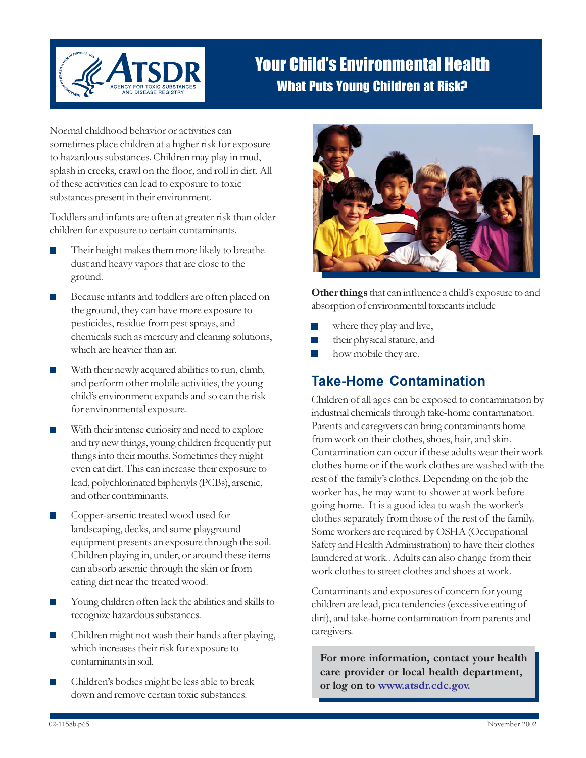

## Your Child's Environmental Health What Puts Young Children at Risk?

Normal childhood behavior or activities can sometimes place children at a higher risk for exposure to hazardous substances. Children may play in mud, splash in creeks, crawl on the floor, and roll in dirt. All of these activities can lead to exposure to toxic substances present in their environment.

Toddlers and infants are often at greater risk than older children for exposure to certain contaminants.

- Their height makes them more likely to breathe dust and heavy vapors that are close to the ground.
- Because infants and toddlers are often placed on the ground, they can have more exposure to pesticides, residue from pest sprays, and chemicals such as mercury and cleaning solutions, which are heavier than air.
- With their newly acquired abilities to run, climb, and perform other mobile activities, the young child's environment expands and so can the risk for environmental exposure.
- With their intense curiosity and need to explore and try new things, young children frequently put things into their mouths. Sometimes they might even eat dirt. This can increase their exposure to lead, polychlorinated biphenyls (PCBs), arsenic, and other contaminants.
- Copper-arsenic treated wood used for landscaping, decks, and some playground equipment presents an exposure through the soil. Children playing in, under, or around these items can absorb arsenic through the skin or from eating dirt near the treated wood.
- Young children often lack the abilities and skills to recognize hazardous substances.
- Children might not wash their hands after playing, which increases their risk for exposure to contaminants in soil.
- Children's bodies might be less able to break down and remove certain toxic substances.



Other things that can influence a child's exposure to and absorption of environmental toxicants include

- where they play and live,
- their physical stature, and P.
- how mobile they are.

#### Take-Home Contamination

Children of all ages can be exposed to contamination by industrial chemicals through take-home contamination. Parents and caregivers can bring contaminants home from work on their clothes, shoes, hair, and skin. Contamination can occur if these adults wear their work clothes home or if the work clothes are washed with the rest of the family's clothes. Depending on the job the worker has, he may want to shower at work before going home. It is a good idea to wash the worker's clothes separately from those of the rest of the family. Some workers are required by OSHA (Occupational Safety and Health Administration) to have their clothes laundered at work.. Adults can also change from their work clothes to street clothes and shoes at work.

Contaminants and exposures of concern for young children are lead, pica tendencies (excessive eating of dirt), and take-home contamination from parents and caregivers.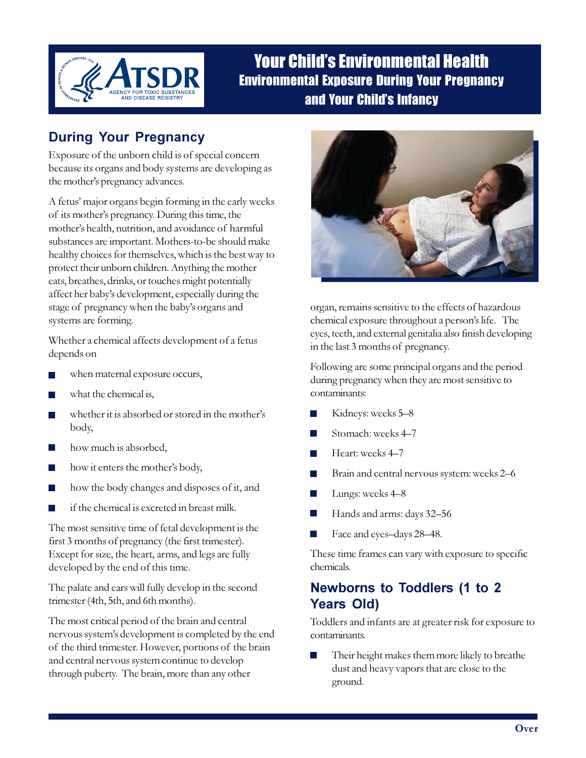

### Your Child's Environmental Health Environmental Exposure During Your Pregnancy and Your Child's Infancy

### During Your Pregnancy

Exposure of the unborn child is of special concern because its organs and body systems are developing as the mother's pregnancy advances.

A fetus' major organs begin forming in the early weeks of its mother's pregnancy. During this time, the mother's health, nutrition, and avoidance of harmful substances are important. Mothers-to-be should make healthy choices for themselves, which is the best way to protect their unborn children. Anything the mother eats, breathes, drinks, or touches might potentially affect her baby's development, especially during the stage of pregnancy when the baby's organs and systems are forming.

Whether a chemical affects development of a fetus depends on

- when maternal exposure occurs, m.
- what the chemical is,
- whether it is absorbed or stored in the mother's п body,
- how much is absorbed,
- how it enters the mother's body,
- how the body changes and disposes of it, and
- if the chemical is excreted in breast milk.

The most sensitive time of fetal development is the first 3 months of pregnancy (the first trimester). Except for size, the heart, arms, and legs are fully developed by the end of this time.

The palate and ears will fully develop in the second trimester (4th, 5th, and 6th months).

The most critical period of the brain and central nervous system's development is completed by the end of the third trimester. However, portions of the brain and central nervous system continue to develop through puberty. The brain, more than any other



organ, remains sensitive to the effects of hazardous chemical exposure throughout a person's life. The eyes, teeth, and external genitalia also finish developing in the last 3 months of pregnancy.

Following are some principal organs and the period during pregnancy when they are most sensitive to contaminants:

- Kidneys: weeks 5–8
- Stomach: weeks 4–7
- $\sim$ Heart: weeks 4–7
- Brain and central nervous system: weeks 2–6
- Lungs: weeks 4–8  $\mathbb{R}^n$
- T. Hands and arms: days 32–56
- Face and eyes–days 28–48.

These time frames can vary with exposure to specific chemicals.

#### Newborns to Toddlers (1 to 2 Years Old)

Toddlers and infants are at greater risk for exposure to contaminants.

Their height makes them more likely to breathe dust and heavy vapors that are close to the ground.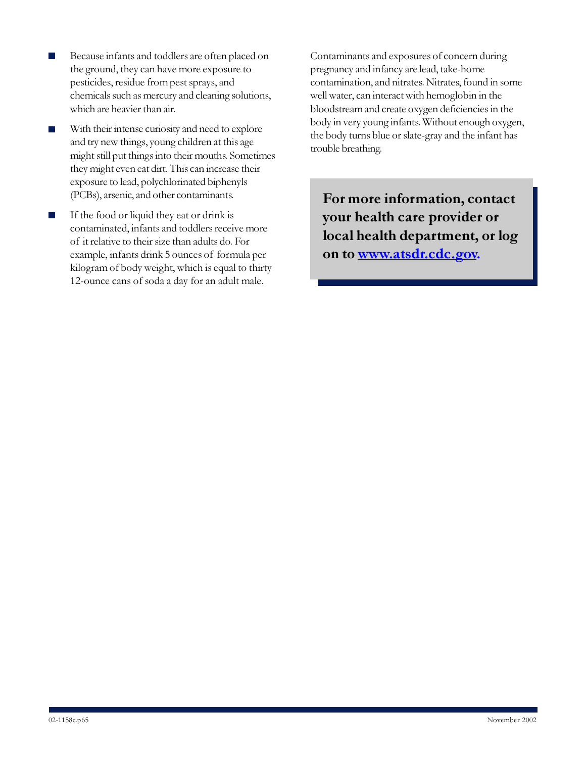- Because infants and toddlers are often placed on the ground, they can have more exposure to pesticides, residue from pest sprays, and chemicals such as mercury and cleaning solutions, which are heavier than air.
- With their intense curiosity and need to explore **The State** and try new things, young children at this age might still put things into their mouths. Sometimes they might even eat dirt. This can increase their exposure to lead, polychlorinated biphenyls (PCBs), arsenic, and other contaminants.
- If the food or liquid they eat or drink is П contaminated, infants and toddlers receive more of it relative to their size than adults do. For example, infants drink 5 ounces of formula per kilogram of body weight, which is equal to thirty 12-ounce cans of soda a day for an adult male.

Contaminants and exposures of concern during pregnancy and infancy are lead, take-home contamination, and nitrates. Nitrates, found in some well water, can interact with hemoglobin in the bloodstream and create oxygen deficiencies in the body in very young infants. Without enough oxygen, the body turns blue or slate-gray and the infant has trouble breathing.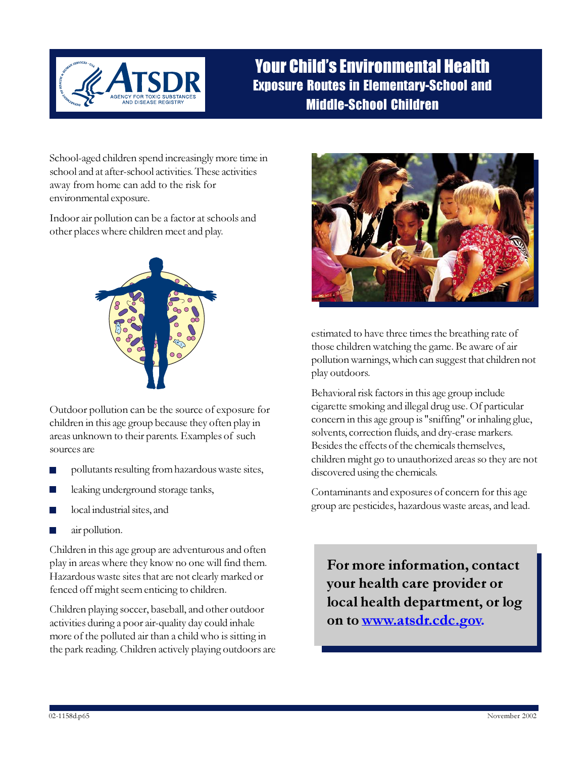

### Your Child's Environmental Health Exposure Routes in Elementary-School and Middle-School Children

School-aged children spend increasingly more time in school and at after-school activities. These activities away from home can add to the risk for environmental exposure.

Indoor air pollution can be a factor at schools and other places where children meet and play.



Outdoor pollution can be the source of exposure for children in this age group because they often play in areas unknown to their parents. Examples of such sources are

- pollutants resulting from hazardous waste sites,
- leaking underground storage tanks,
- local industrial sites, and
- air pollution.

Children in this age group are adventurous and often play in areas where they know no one will find them. Hazardous waste sites that are not clearly marked or fenced off might seem enticing to children.

Children playing soccer, baseball, and other outdoor activities during a poor air-quality day could inhale more of the polluted air than a child who is sitting in the park reading. Children actively playing outdoors are



estimated to have three times the breathing rate of those children watching the game. Be aware of air pollution warnings, which can suggest that children not play outdoors.

Behavioral risk factors in this age group include cigarette smoking and illegal drug use. Of particular concern in this age group is "sniffing" or inhaling glue, solvents, correction fluids, and dry-erase markers. Besides the effects of the chemicals themselves, children might go to unauthorized areas so they are not discovered using the chemicals.

Contaminants and exposures of concern for this age group are pesticides, hazardous waste areas, and lead.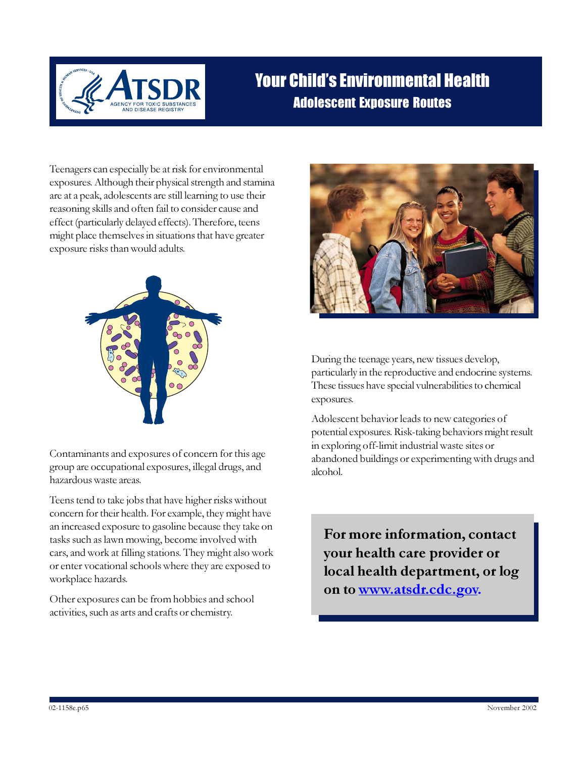

# Your Child's Environmental Health Adolescent Exposure Routes

Teenagers can especially be at risk for environmental exposures. Although their physical strength and stamina are at a peak, adolescents are still learning to use their reasoning skills and often fail to consider cause and effect (particularly delayed effects). Therefore, teens might place themselves in situations that have greater exposure risks than would adults.



Contaminants and exposures of concern for this age group are occupational exposures, illegal drugs, and hazardous waste areas.

Teens tend to take jobs that have higher risks without concern for their health. For example, they might have an increased exposure to gasoline because they take on tasks such as lawn mowing, become involved with cars, and work at filling stations. They might also work or enter vocational schools where they are exposed to workplace hazards.

Other exposures can be from hobbies and school activities, such as arts and crafts or chemistry.



During the teenage years, new tissues develop, particularly in the reproductive and endocrine systems. These tissues have special vulnerabilities to chemical exposures.

Adolescent behavior leads to new categories of potential exposures. Risk-taking behaviors might result in exploring off-limit industrial waste sites or abandoned buildings or experimenting with drugs and alcohol.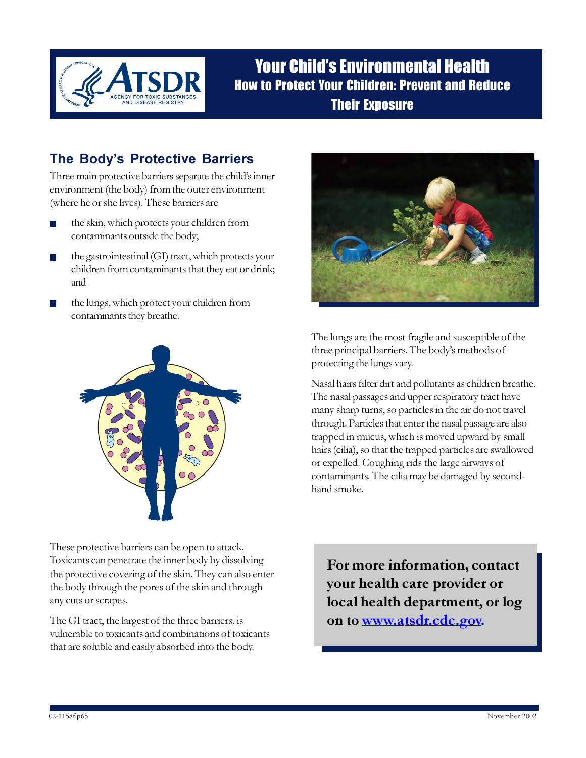

Your Child's Environmental Health How to Protect Your Children: Prevent and Reduce Their Exposure

#### The Body's Protective Barriers

Three main protective barriers separate the child's inner environment (the body) from the outer environment (where he or she lives). These barriers are

- the skin, which protects your children from contaminants outside the body;
- the gastrointestinal (GI) tract, which protects your children from contaminants that they eat or drink; and
- the lungs, which protect your children from contaminants they breathe.



These protective barriers can be open to attack. Toxicants can penetrate the inner body by dissolving the protective covering of the skin. They can also enter the body through the pores of the skin and through any cuts or scrapes.

The GI tract, the largest of the three barriers, is vulnerable to toxicants and combinations of toxicants that are soluble and easily absorbed into the body.



The lungs are the most fragile and susceptible of the three principal barriers. The body's methods of protecting the lungs vary.

Nasal hairs filter dirt and pollutants as children breathe. The nasal passages and upper respiratory tract have many sharp turns, so particles in the air do not travel through. Particles that enter the nasal passage are also trapped in mucus, which is moved upward by small hairs (cilia), so that the trapped particles are swallowed or expelled. Coughing rids the large airways of contaminants. The cilia may be damaged by secondhand smoke.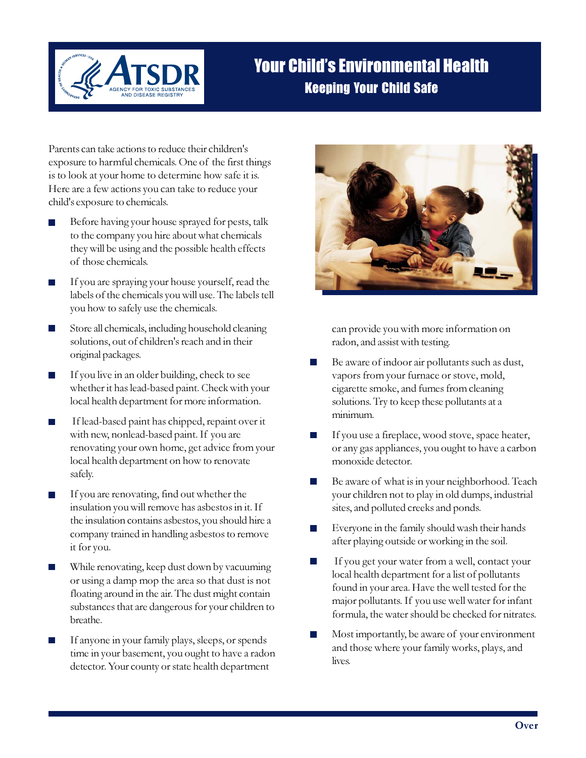

# Your Child's Environmental Health Keeping Your Child Safe

Parents can take actions to reduce their children's exposure to harmful chemicals. One of the first things is to look at your home to determine how safe it is. Here are a few actions you can take to reduce your child's exposure to chemicals.

- Before having your house sprayed for pests, talk to the company you hire about what chemicals they will be using and the possible health effects of those chemicals.
- П If you are spraying your house yourself, read the labels of the chemicals you will use. The labels tell you how to safely use the chemicals.
- Store all chemicals, including household cleaning solutions, out of children's reach and in their original packages.
- If you live in an older building, check to see **College** whether it has lead-based paint. Check with your local health department for more information.
- If lead-based paint has chipped, repaint over it with new, nonlead-based paint. If you are renovating your own home, get advice from your local health department on how to renovate safely.
- If you are renovating, find out whether the insulation you will remove has asbestos in it. If the insulation contains asbestos, you should hire a company trained in handling asbestos to remove it for you.
- While renovating, keep dust down by vacuuming or using a damp mop the area so that dust is not floating around in the air. The dust might contain substances that are dangerous for your children to breathe.
- If anyone in your family plays, sleeps, or spends time in your basement, you ought to have a radon detector. Your county or state health department



can provide you with more information on radon, and assist with testing.

- Be aware of indoor air pollutants such as dust,  $\mathcal{C}^{\mathcal{A}}$ vapors from your furnace or stove, mold, cigarette smoke, and fumes from cleaning solutions. Try to keep these pollutants at a minimum.
- If you use a fireplace, wood stove, space heater, or any gas appliances, you ought to have a carbon monoxide detector.
- Be aware of what is in your neighborhood. Teach your children not to play in old dumps, industrial sites, and polluted creeks and ponds.
- Everyone in the family should wash their hands after playing outside or working in the soil.
- If you get your water from a well, contact your local health department for a list of pollutants found in your area. Have the well tested for the major pollutants. If you use well water for infant formula, the water should be checked for nitrates.
- Most importantly, be aware of your environment and those where your family works, plays, and lives.